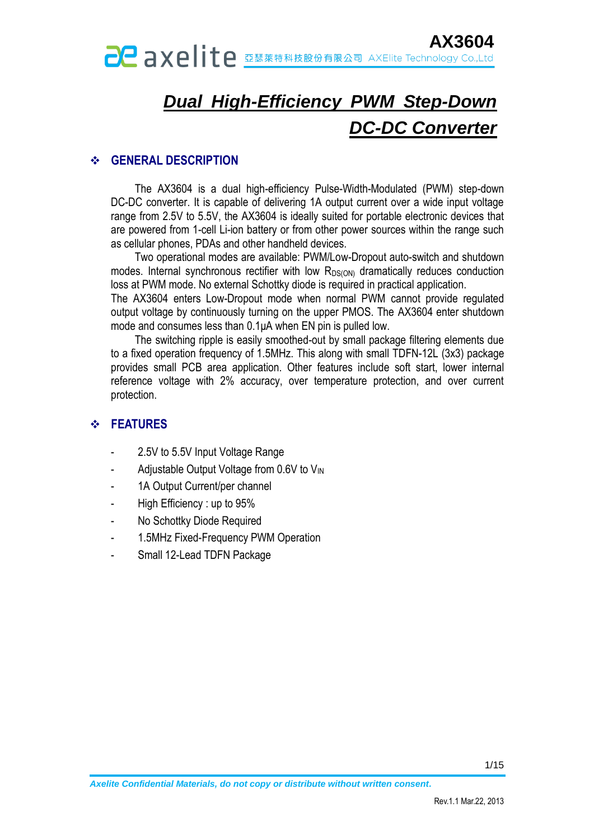# *Dual High-Efficiency PWM Step-Down DC-DC Converter*

#### **GENERAL DESCRIPTION**

The AX3604 is a dual high-efficiency Pulse-Width-Modulated (PWM) step-down DC-DC converter. It is capable of delivering 1A output current over a wide input voltage range from 2.5V to 5.5V, the AX3604 is ideally suited for portable electronic devices that are powered from 1-cell Li-ion battery or from other power sources within the range such as cellular phones, PDAs and other handheld devices.

Two operational modes are available: PWM/Low-Dropout auto-switch and shutdown modes. Internal synchronous rectifier with low R<sub>DS(ON)</sub> dramatically reduces conduction loss at PWM mode. No external Schottky diode is required in practical application.

The AX3604 enters Low-Dropout mode when normal PWM cannot provide regulated output voltage by continuously turning on the upper PMOS. The AX3604 enter shutdown mode and consumes less than 0.1μA when EN pin is pulled low.

The switching ripple is easily smoothed-out by small package filtering elements due to a fixed operation frequency of 1.5MHz. This along with small TDFN-12L (3x3) package provides small PCB area application. Other features include soft start, lower internal reference voltage with 2% accuracy, over temperature protection, and over current protection.

### **FEATURES**

- 2.5V to 5.5V Input Voltage Range
- Adjustable Output Voltage from 0.6V to V<sub>IN</sub>
- 1A Output Current/per channel
- High Efficiency : up to 95%
- No Schottky Diode Required
- 1.5MHz Fixed-Frequency PWM Operation
- Small 12-Lead TDFN Package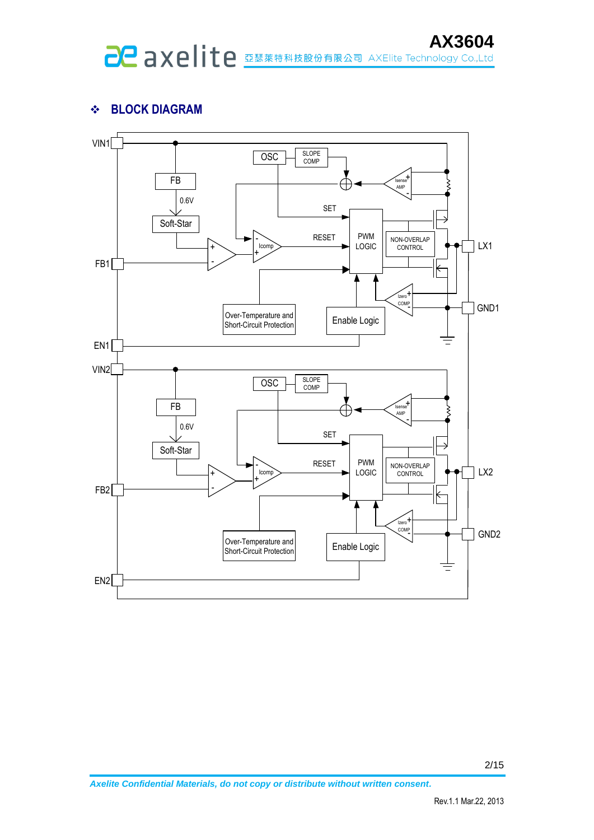# **BLOCK DIAGRAM**

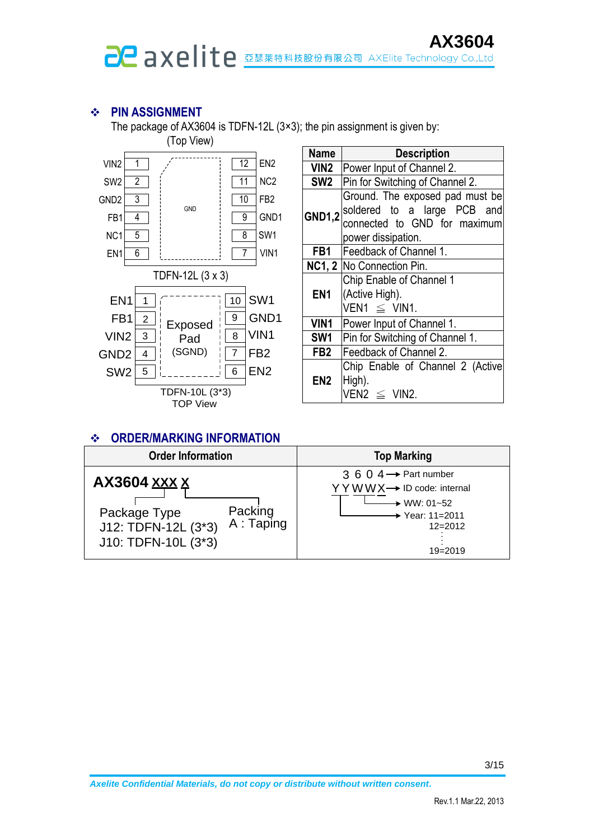# **PIN ASSIGNMENT**

The package of AX3604 is TDFN-12L (3×3); the pin assignment is given by:



| Name            | <b>Description</b>                                                                                                            |  |  |  |  |  |
|-----------------|-------------------------------------------------------------------------------------------------------------------------------|--|--|--|--|--|
|                 | VIN2   Power Input of Channel 2.                                                                                              |  |  |  |  |  |
| SW <sub>2</sub> | Pin for Switching of Channel 2.                                                                                               |  |  |  |  |  |
|                 | Ground. The exposed pad must be<br>$GND1,2$ soldered to a large PCB and<br>connected to GND for maximum<br>power dissipation. |  |  |  |  |  |
|                 | <b>FB1</b>   Feedback of Channel 1.                                                                                           |  |  |  |  |  |
|                 | NC1, 2 No Connection Pin.                                                                                                     |  |  |  |  |  |
| EN <sub>1</sub> | Chip Enable of Channel 1<br>(Active High).<br>VEN1 $\leq$ VIN1.                                                               |  |  |  |  |  |
| VIN1            | Power Input of Channel 1.                                                                                                     |  |  |  |  |  |
| SW1             | Pin for Switching of Channel 1.                                                                                               |  |  |  |  |  |
| FB <sub>2</sub> | Feedback of Channel 2.                                                                                                        |  |  |  |  |  |
| EN <sub>2</sub> | Chip Enable of Channel 2 (Active<br>High).<br>$VEN2 \leq VIN2$ .                                                              |  |  |  |  |  |

#### **ORDER/MARKING INFORMATION**

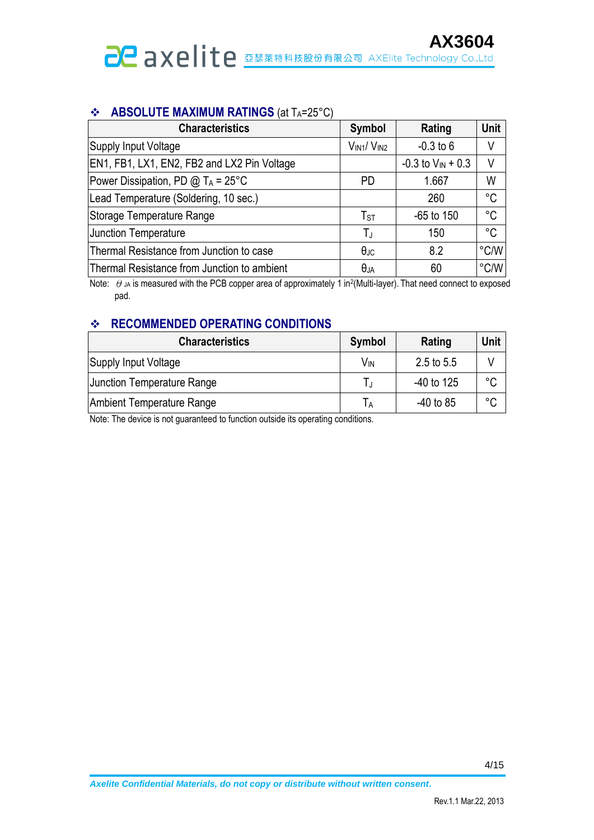#### **ABSOLUTE MAXIMUM RATINGS** (at TA=25°C)

| <b>Characteristics</b>                          | Symbol            | Rating                   | Unit        |
|-------------------------------------------------|-------------------|--------------------------|-------------|
| Supply Input Voltage                            | $V_{IN1}/V_{IN2}$ | $-0.3$ to 6              | V           |
| EN1, FB1, LX1, EN2, FB2 and LX2 Pin Voltage     |                   | $-0.3$ to $V_{IN} + 0.3$ | V           |
| Power Dissipation, PD $@$ T <sub>A</sub> = 25°C | <b>PD</b>         | 1.667                    | W           |
| Lead Temperature (Soldering, 10 sec.)           |                   | 260                      | °C          |
| Storage Temperature Range                       | $T_{ST}$          | $-65$ to 150             | $^{\circ}C$ |
| <b>Junction Temperature</b>                     | ТJ                | 150                      | $^{\circ}C$ |
| Thermal Resistance from Junction to case        | $\theta$ JC       | 8.2                      | °C/W        |
| Thermal Resistance from Junction to ambient     | $\theta_{JA}$     | 60                       | °C/W        |

Note:  $\theta$  JA is measured with the PCB copper area of approximately 1 in<sup>2</sup>(Multi-layer). That need connect to exposed pad.

# *<b>RECOMMENDED OPERATING CONDITIONS*

| <b>Characteristics</b>            | Symbol          | Rating      | Unit    |
|-----------------------------------|-----------------|-------------|---------|
| Supply Input Voltage              | V <sub>IN</sub> | 2.5 to 5.5  |         |
| <b>Junction Temperature Range</b> |                 | -40 to 125  | °C      |
| Ambient Temperature Range         |                 | $-40$ to 85 | $\circ$ |

Note: The device is not guaranteed to function outside its operating conditions.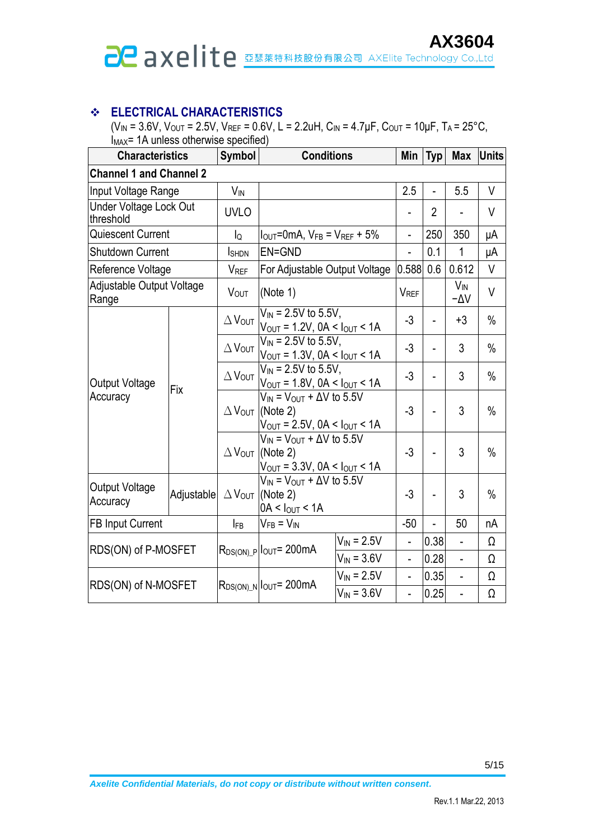# **AX3604**<br>Caxelite **BEXAXELITE**

### **ELECTRICAL CHARACTERISTICS**

 $(V_{IN} = 3.6V, V_{OUT} = 2.5V, V_{REF} = 0.6V, L = 2.2uH, C_{IN} = 4.7\mu F, C_{OUT} = 10\mu F, T_A = 25^{\circ}C,$  $I_{MAX}$ = 1A unless otherwise specified)

| <b>Characteristics</b>                     |            | Symbol                           | <b>Conditions</b>                                                                                                                    |                 | Min                      | <b>Typ</b>               | <b>Max</b>      | <b>Units</b>  |
|--------------------------------------------|------------|----------------------------------|--------------------------------------------------------------------------------------------------------------------------------------|-----------------|--------------------------|--------------------------|-----------------|---------------|
| <b>Channel 1 and Channel 2</b>             |            |                                  |                                                                                                                                      |                 |                          |                          |                 |               |
| Input Voltage Range                        |            | $V_{IN}$                         |                                                                                                                                      |                 | 2.5                      |                          | 5.5             | V             |
| <b>Under Voltage Lock Out</b><br>threshold |            | <b>UVLO</b>                      |                                                                                                                                      |                 |                          | $\overline{2}$           |                 | V             |
| Quiescent Current                          |            | lo                               | $I_{\text{OUT}}$ =0mA, $V_{FB}$ = $V_{REF}$ + 5%                                                                                     |                 | ٠                        | 250                      | 350             | μA            |
| <b>Shutdown Current</b>                    |            | <b>I</b> SHDN                    | EN=GND                                                                                                                               |                 |                          | 0.1                      | 1               | μA            |
| Reference Voltage                          |            | VREF                             | For Adjustable Output Voltage                                                                                                        |                 | 0.588                    | 0.6                      | 0.612           | V             |
| Adjustable Output Voltage<br>Range         |            | <b>V</b> <sub>OUT</sub>          | (Note $1$ )                                                                                                                          |                 | V <sub>REF</sub>         |                          | $V_{IN}$<br>-AV | $\vee$        |
|                                            |            | $\Delta V_{\text{OUT}}$          | $V_{IN}$ = 2.5V to 5.5V,<br>$V_{\text{OUT}} = 1.2V$ , $0A < I_{\text{OUT}} < 1A$                                                     |                 | $-3$                     | ÷.                       | $+3$            | $\%$          |
|                                            | Fix        | $\Delta$ Vout                    | $\overline{V}_{IN}$ = 2.5V to 5.5V,<br>$V_{OUT} = 1.3V$ , $0A < I_{OUT} < 1A$                                                        |                 | $-3$                     | -                        | 3               | $\frac{0}{0}$ |
| <b>Output Voltage</b>                      |            | $\Delta$ $V_{\text{OUT}}$        | $V_{IN}$ = 2.5V to 5.5V,<br>$V_{OUT} = 1.8V$ , $0A < I_{OUT} < 1A$                                                                   |                 | $-3$                     | $\overline{\phantom{0}}$ | 3               | $\frac{0}{0}$ |
| Accuracy                                   |            | $\Delta$ $V_{\text{OUT}}$        | $V_{IN}$ = $V_{OUT}$ + $\Delta V$ to 5.5V<br>(Note 2)<br>$V_{\text{OUT}} = 2.5V$ , $0A < I_{\text{OUT}} < 1A$                        |                 | $-3$                     | $\overline{a}$           | 3               | $\%$          |
|                                            |            |                                  | $V_{IN}$ = $V_{OUT}$ + $\Delta V$ to 5.5V<br>$\Delta$ V <sub>OUT</sub> (Note 2)<br>$V_{\text{OUT}} = 3.3V, 0A < I_{\text{OUT}} < 1A$ |                 | $-3$                     |                          | 3               | $\%$          |
| <b>Output Voltage</b><br>Accuracy          | Adjustable | $\Delta$ Vout                    | $V_{IN}$ = $V_{OUT}$ + $\Delta V$ to 5.5V<br>(Note 2)<br>$0A < I_{OUT} < 1A$                                                         |                 | $-3$                     |                          | 3               | $\frac{0}{0}$ |
| <b>FB Input Current</b>                    |            | $I_{FB}$                         | $V_{FB} = V_{IN}$                                                                                                                    |                 | $-50$                    |                          | 50              | nA            |
| RDS(ON) of P-MOSFET                        |            |                                  | $R_{DS(ON)_P} _{OUT}=200mA$                                                                                                          | $V_{IN} = 2.5V$ | $\overline{a}$           | 0.38                     |                 | Ω             |
|                                            |            |                                  |                                                                                                                                      | $V_{IN} = 3.6V$ | $\overline{\phantom{0}}$ | 0.28                     | $\overline{a}$  | Ω             |
|                                            |            | $R_{DS(ON)_N}$ $I_{OUT} = 200mA$ |                                                                                                                                      | $V_{IN}$ = 2.5V | $\overline{a}$           | 0.35                     | $\overline{a}$  | Ω             |
| RDS(ON) of N-MOSFET                        |            |                                  | $V_{IN} = 3.6V$                                                                                                                      |                 | $\overline{\phantom{a}}$ | 0.25                     | $\overline{a}$  | Ω             |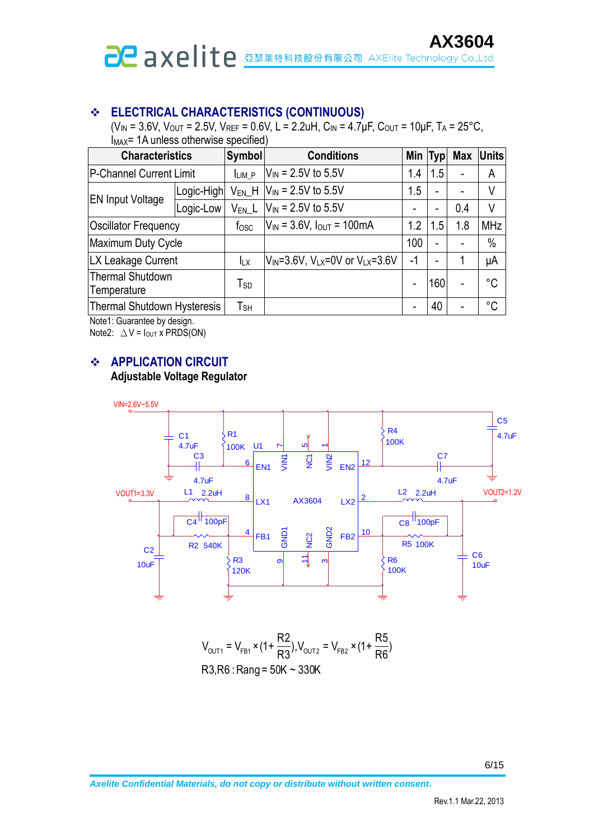# **ELECTRICAL CHARACTERISTICS (CONTINUOUS)**

 $(V_{IN} = 3.6V, V_{OUT} = 2.5V, V_{REF} = 0.6V, L = 2.2uH, C_{IN} = 4.7uF, C_{OUT} = 10uF, T_A = 25°C,$  $\dot{I}_{MAX}$ = 1A unless otherwise specified)

| <b>Characteristics</b>          |            | <b>Symbol</b>              | <b>Conditions</b>                                  |      | <b>Typ</b>               | <b>Max</b> | <b>Units</b> |
|---------------------------------|------------|----------------------------|----------------------------------------------------|------|--------------------------|------------|--------------|
| P-Channel Current Limit         |            | LIM P                      | $V_{IN}$ = 2.5V to 5.5V                            | 1.4  | 1.5                      |            | A            |
| <b>EN Input Voltage</b>         | Logic-High | V <sub>EN</sub> H          | $V_{\text{IN}}$ = 2.5V to 5.5V                     |      | $\blacksquare$           |            | ٧            |
|                                 | Logic-Low  | $V_{EN}$ L                 | $V_{IN}$ = 2.5V to 5.5V                            |      | $\blacksquare$           | 0.4        | ٧            |
| <b>Oscillator Frequency</b>     |            | f <sub>osc</sub>           | $V_{IN}$ = 3.6V, $I_{OUT}$ = 100mA                 | 1.2  | 1.5                      | 1.8        | <b>MHz</b>   |
| Maximum Duty Cycle              |            |                            |                                                    | 100  | $\overline{\phantom{0}}$ |            | $\%$         |
| LX Leakage Current              |            | <b>ILX</b>                 | $V_{IN} = 3.6V$ , $V_{LX} = 0V$ or $V_{LX} = 3.6V$ | $-1$ | ۰                        |            | μA           |
| Thermal Shutdown<br>Temperature |            | Tsp                        |                                                    |      | 160                      |            | °C           |
| Thermal Shutdown Hysteresis     |            | $\mathsf{T}_{\mathsf{SH}}$ |                                                    |      | 40                       |            | °C           |

Note1: Guarantee by design.

Note2:  $\Delta V = I_{\text{OUT}} x \text{ PRDS}(\text{ON})$ 

#### **APPLICATION CIRCUIT**

#### **Adjustable Voltage Regulator**



$$
V_{\text{OUT1}} = V_{\text{FB1}} \times (1 + \frac{R2}{R3}), V_{\text{OUT2}} = V_{\text{FB2}} \times (1 + \frac{R5}{R6})
$$
  
R3,R6 : Rang = 50K ~ 330K

6/15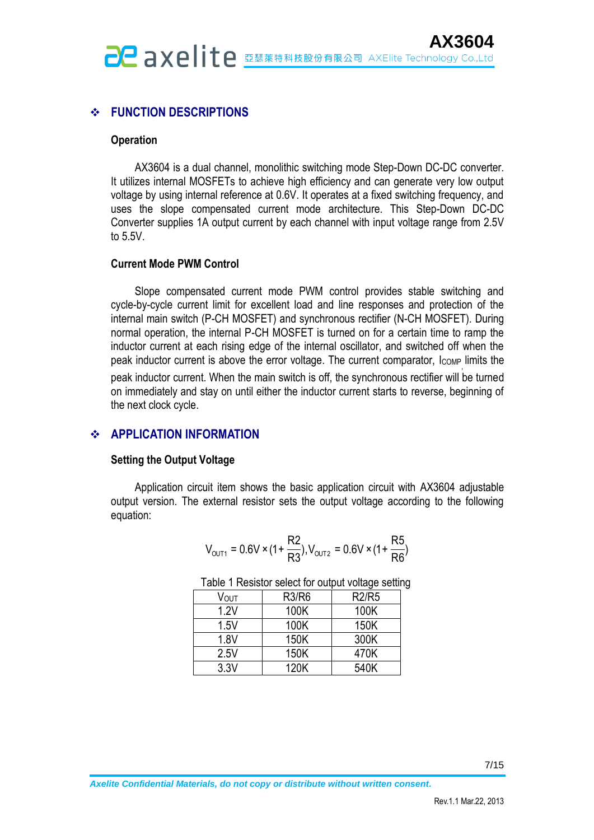# **FUNCTION DESCRIPTIONS**

#### **Operation**

AX3604 is a dual channel, monolithic switching mode Step-Down DC-DC converter. It utilizes internal MOSFETs to achieve high efficiency and can generate very low output voltage by using internal reference at 0.6V. It operates at a fixed switching frequency, and uses the slope compensated current mode architecture. This Step-Down DC-DC Converter supplies 1A output current by each channel with input voltage range from 2.5V to 5.5V.

#### **Current Mode PWM Control**

Slope compensated current mode PWM control provides stable switching and cycle-by-cycle current limit for excellent load and line responses and protection of the internal main switch (P-CH MOSFET) and synchronous rectifier (N-CH MOSFET). During normal operation, the internal P-CH MOSFET is turned on for a certain time to ramp the inductor current at each rising edge of the internal oscillator, and switched off when the peak inductor current is above the error voltage. The current comparator, lcomp limits the peak inductor current. When the main switch is off, the synchronous rectifier will be turned on immediately and stay on until either the inductor current starts to reverse, beginning of the next clock cycle.

#### **APPLICATION INFORMATION**

#### **Setting the Output Voltage**

Application circuit item shows the basic application circuit with AX3604 adjustable output version. The external resistor sets the output voltage according to the following equation:

$$
V_{\text{OUT1}} = 0.6 \text{V} \times (1 + \frac{\text{R2}}{\text{R3}}), V_{\text{OUT2}} = 0.6 \text{V} \times (1 + \frac{\text{R5}}{\text{R6}})
$$

| Vout | <b>R3/R6</b> | <b>R2/R5</b> |
|------|--------------|--------------|
| 1.2V | 100K         | 100K         |
| 1.5V | 100K         | 150K         |
| 1.8V | 150K         | 300K         |
| 2.5V | 150K         | 470K         |
| 3.3V | 120K         | 540K         |

Table 1 Resistor select for output voltage setting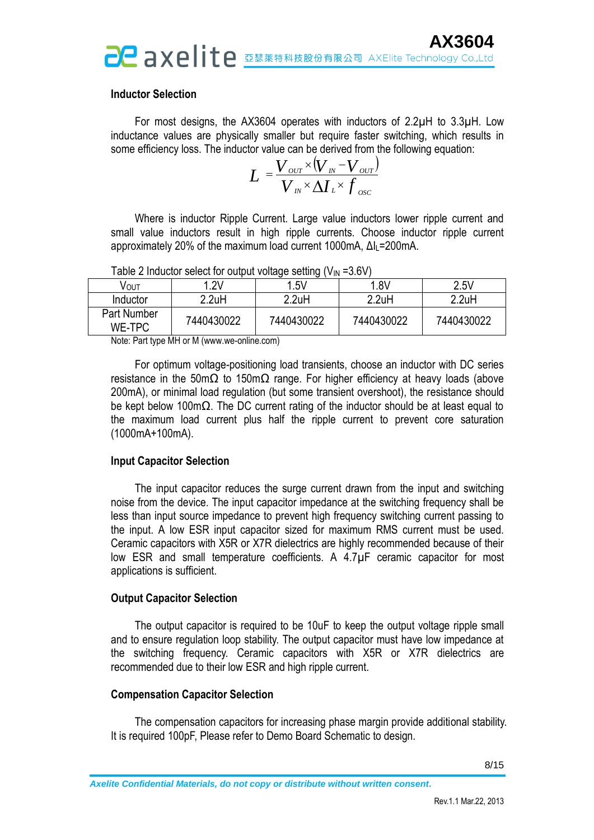#### **Inductor Selection**

For most designs, the AX3604 operates with inductors of 2.2µH to 3.3µH. Low inductance values are physically smaller but require faster switching, which results in some efficiency loss. The inductor value can be derived from the following equation:

$$
L = \frac{V_{ov} \times (V_{N} - V_{ov})}{V_{N} \times \Delta I_{L} \times f_{osc}}
$$

Where is inductor Ripple Current. Large value inductors lower ripple current and small value inductors result in high ripple currents. Choose inductor ripple current approximately 20% of the maximum load current 1000mA, ΔIL=200mA.

| VOUT                         | .2V        | 1.5V       | 1.8V       | 2.5V       |
|------------------------------|------------|------------|------------|------------|
| Inductor                     | 2.2uH      | 2.2uH      | 2.2uH      | 2.2uH      |
| Part Number<br><b>WE-TPC</b> | 7440430022 | 7440430022 | 7440430022 | 7440430022 |

Table 2 Inductor select for output voltage setting  $(V_{\text{IN}} = 3.6V)$ 

Note: Part type MH or M (www.we-online.com)

For optimum voltage-positioning load transients, choose an inductor with DC series resistance in the 50mΩ to 150mΩ range. For higher efficiency at heavy loads (above 200mA), or minimal load regulation (but some transient overshoot), the resistance should be kept below 100mΩ. The DC current rating of the inductor should be at least equal to the maximum load current plus half the ripple current to prevent core saturation (1000mA+100mA).

#### **Input Capacitor Selection**

The input capacitor reduces the surge current drawn from the input and switching noise from the device. The input capacitor impedance at the switching frequency shall be less than input source impedance to prevent high frequency switching current passing to the input. A low ESR input capacitor sized for maximum RMS current must be used. Ceramic capacitors with X5R or X7R dielectrics are highly recommended because of their low ESR and small temperature coefficients. A 4.7µF ceramic capacitor for most applications is sufficient.

#### **Output Capacitor Selection**

The output capacitor is required to be 10uF to keep the output voltage ripple small and to ensure regulation loop stability. The output capacitor must have low impedance at the switching frequency. Ceramic capacitors with X5R or X7R dielectrics are recommended due to their low ESR and high ripple current.

#### **Compensation Capacitor Selection**

The compensation capacitors for increasing phase margin provide additional stability. It is required 100pF, Please refer to Demo Board Schematic to design.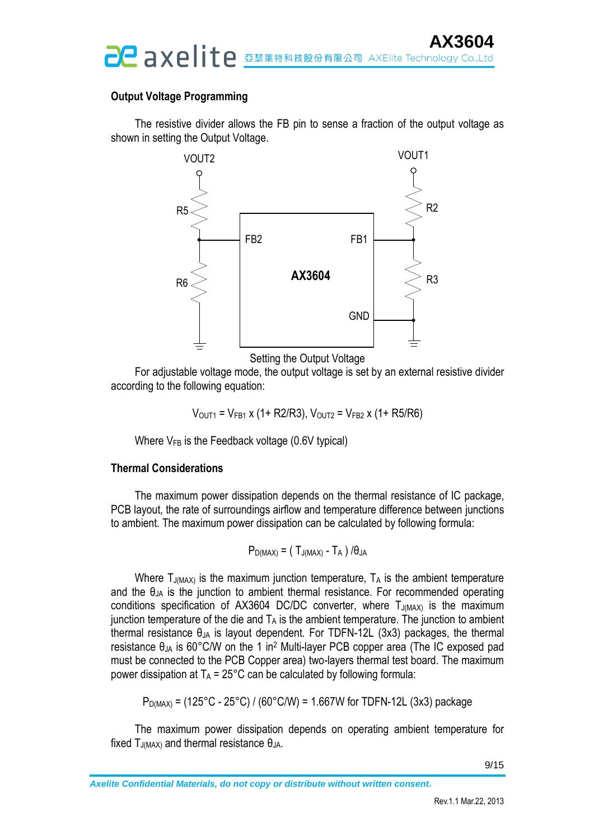#### **Output Voltage Programming**

The resistive divider allows the FB pin to sense a fraction of the output voltage as shown in setting the Output Voltage.



Setting the Output Voltage

For adjustable voltage mode, the output voltage is set by an external resistive divider according to the following equation:

$$
V_{\text{OUT1}} = V_{\text{FB1}} \times (1 + R2/R3), V_{\text{OUT2}} = V_{\text{FB2}} \times (1 + R5/R6)
$$

Where  $V_{FB}$  is the Feedback voltage (0.6V typical)

#### **Thermal Considerations**

The maximum power dissipation depends on the thermal resistance of IC package, PCB layout, the rate of surroundings airflow and temperature difference between junctions to ambient. The maximum power dissipation can be calculated by following formula:

$$
P_{D(MAX)} = (T_{J(MAX)} - T_A) / \theta_{JA}
$$

Where  $T_{J(MAX)}$  is the maximum junction temperature,  $T_A$  is the ambient temperature and the  $\theta_{JA}$  is the junction to ambient thermal resistance. For recommended operating conditions specification of AX3604 DC/DC converter, where  $T_{J(MAX)}$  is the maximum junction temperature of the die and  $T_A$  is the ambient temperature. The junction to ambient thermal resistance  $\theta_{JA}$  is layout dependent. For TDFN-12L (3x3) packages, the thermal resistance  $\theta_{JA}$  is 60°C/W on the 1 in<sup>2</sup> Multi-layer PCB copper area (The IC exposed pad must be connected to the PCB Copper area) two-layers thermal test board. The maximum power dissipation at  $T_A = 25^{\circ}$ C can be calculated by following formula:

$$
P_{D(MAX)} = (125^{\circ}C - 25^{\circ}C) / (60^{\circ}C/W) = 1.667W
$$
 for TDFN-12L (3x3) package

The maximum power dissipation depends on operating ambient temperature for fixed  $T_{J(MAX)}$  and thermal resistance  $\theta_{JA}$ .

9/15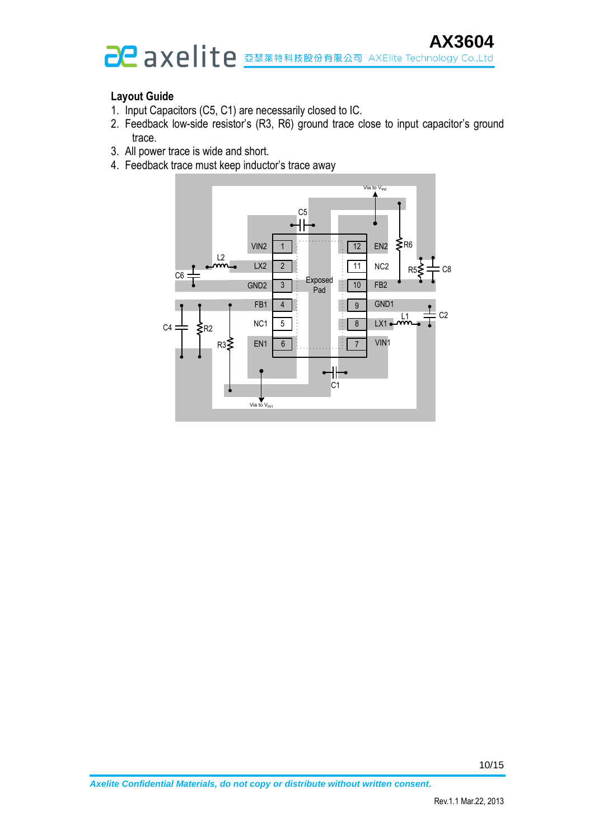# **AX3604**<br>axelite Technology Co.,Ltd

### **Layout Guide**

- 1. Input Capacitors (C5, C1) are necessarily closed to IC.
- 2. Feedback low-side resistor's (R3, R6) ground trace close to input capacitor's ground trace.
- 3. All power trace is wide and short.
- 4. Feedback trace must keep inductor's trace away

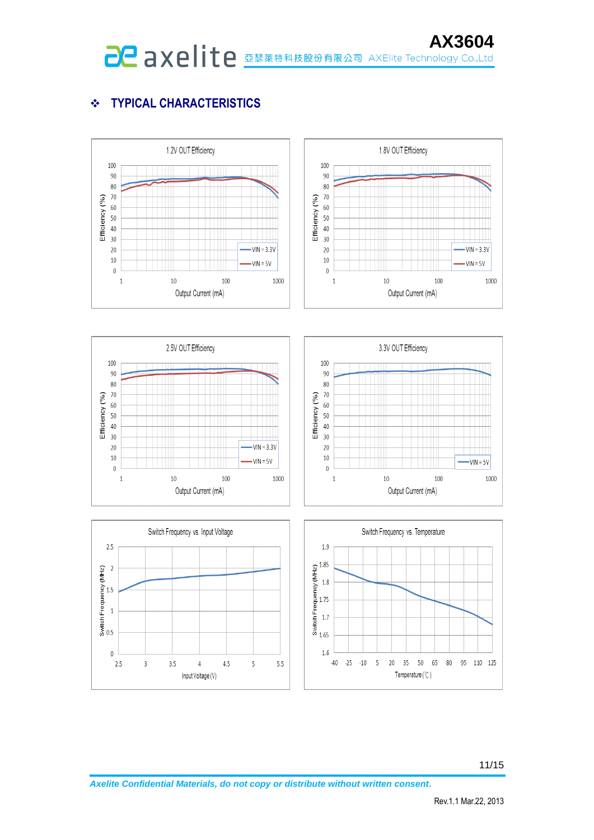# **TYPICAL CHARACTERISTICS**

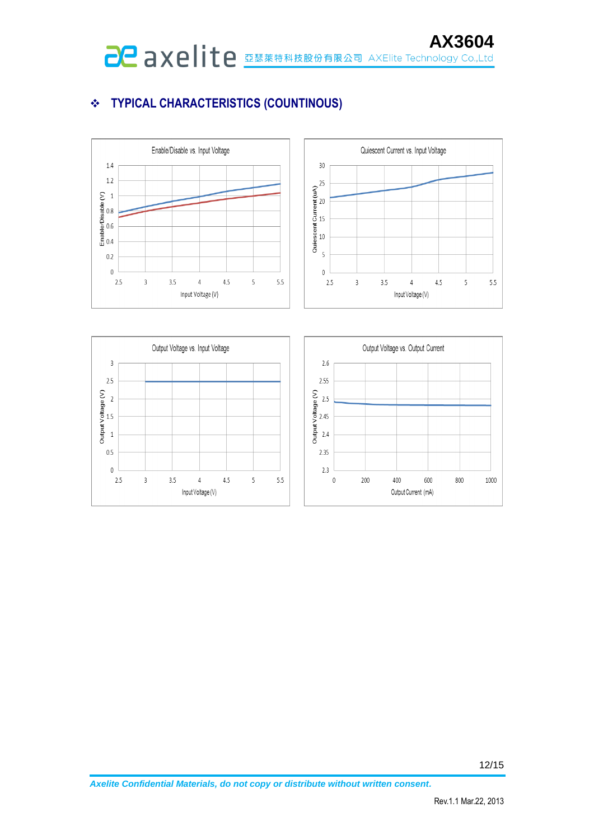# **TYPICAL CHARACTERISTICS (COUNTINOUS)**





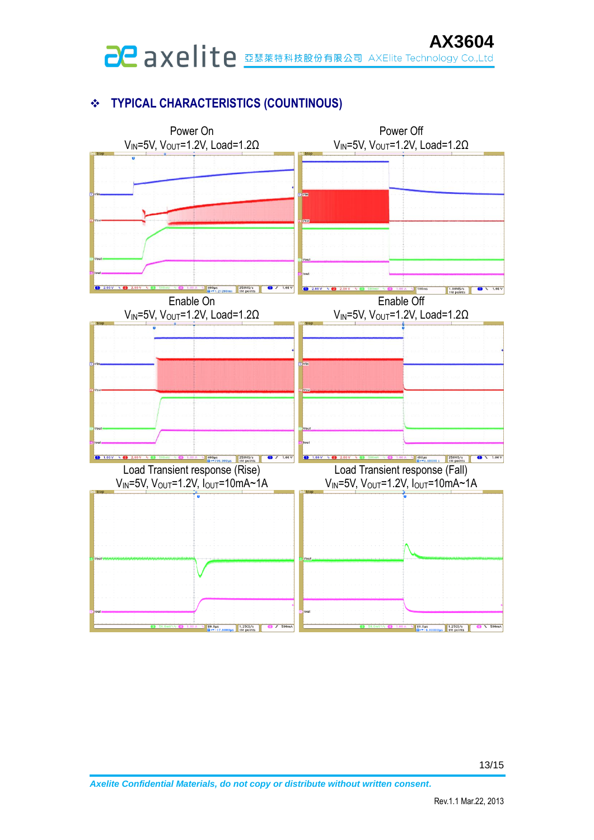# **AX3604**<br>axelite Technology Co.,Ltd

# **TYPICAL CHARACTERISTICS (COUNTINOUS)**

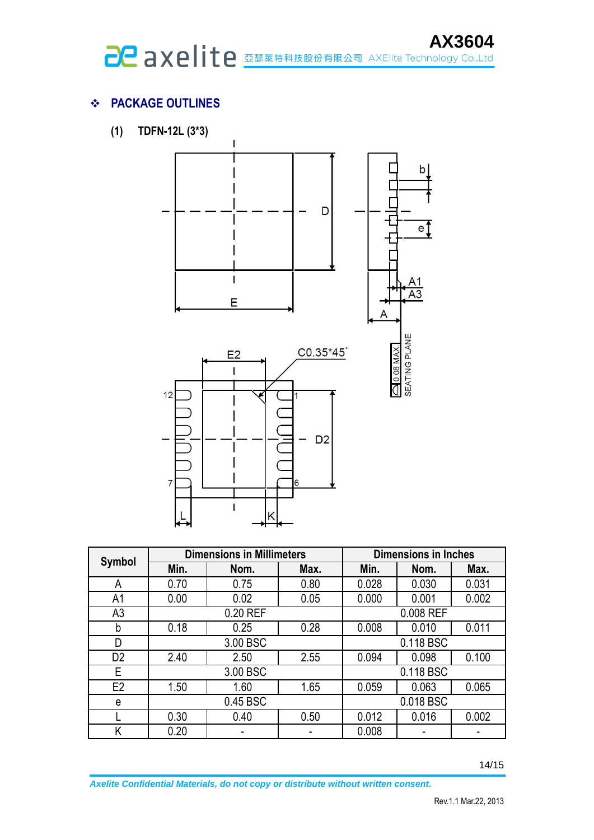# **PACKAGE OUTLINES**

**(1) TDFN-12L (3\*3)**



|                | <b>Dimensions in Millimeters</b> |          |      | <b>Dimensions in Inches</b> |           |       |
|----------------|----------------------------------|----------|------|-----------------------------|-----------|-------|
| <b>Symbol</b>  | Min.                             | Nom.     | Max. | Min.                        | Nom.      | Max.  |
| А              | 0.70                             | 0.75     | 0.80 | 0.028                       | 0.030     | 0.031 |
| A1             | 0.00                             | 0.02     | 0.05 | 0.000                       | 0.001     | 0.002 |
| A <sub>3</sub> | 0.20 REF                         |          |      | 0.008 REF                   |           |       |
| b              | 0.18                             | 0.25     | 0.28 | 0.008                       | 0.010     | 0.011 |
| D              |                                  | 3.00 BSC |      |                             | 0.118 BSC |       |
| D <sub>2</sub> | 2.40                             | 2.50     | 2.55 | 0.094                       | 0.098     | 0.100 |
| E              | 3.00 BSC                         |          |      | 0.118 BSC                   |           |       |
| E2             | 1.50                             | 1.60     | 1.65 | 0.059                       | 0.063     | 0.065 |
| e              | 0.45 BSC                         |          |      |                             | 0.018 BSC |       |
|                | 0.30                             | 0.40     | 0.50 | 0.012                       | 0.016     | 0.002 |
| Κ              | 0.20                             |          |      | 0.008                       |           |       |

14/15